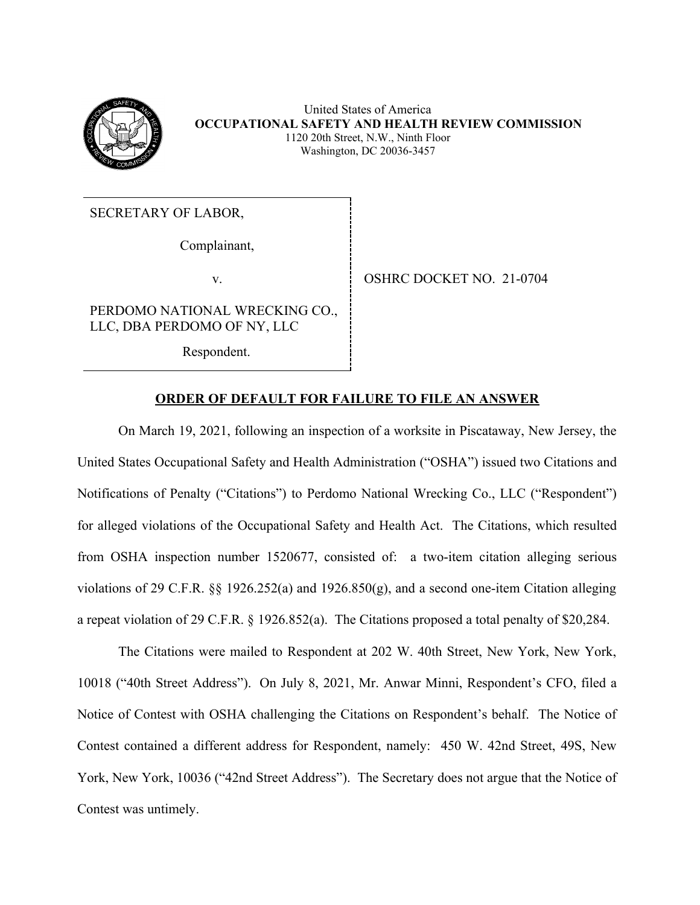

 United States of America  **OCCUPATIONAL SAFETY AND HEALTH REVIEW COMMISSION**  1120 20th Street, N.W., Ninth Floor Washington, DC 20036-3457

SECRETARY OF LABOR,

Complainant,

v. SHRC DOCKET NO. 21-0704

PERDOMO NATIONAL WRECKING CO., LLC, DBA PERDOMO OF NY, LLC

Respondent.

## **ORDER OF DEFAULT FOR FAILURE TO FILE AN ANSWER**

 On March 19, 2021, following an inspection of a worksite in Piscataway, New Jersey, the United States Occupational Safety and Health Administration ("OSHA") issued two Citations and Notifications of Penalty ("Citations") to Perdomo National Wrecking Co., LLC ("Respondent") for alleged violations of the Occupational Safety and Health Act. The Citations, which resulted from OSHA inspection number 1520677, consisted of: a two-item citation alleging serious violations of 29 C.F.R. §§ 1926.252(a) and 1926.850(g), and a second one-item Citation alleging a repeat violation of 29 C.F.R. § 1926.852(a). The Citations proposed a total penalty of \$20,284.

 The Citations were mailed to Respondent at 202 W. 40th Street, New York, New York, 10018 ("40th Street Address"). On July 8, 2021, Mr. Anwar Minni, Respondent's CFO, filed a Notice of Contest with OSHA challenging the Citations on Respondent's behalf. The Notice of Contest contained a different address for Respondent, namely: 450 W. 42nd Street, 49S, New York, New York, 10036 ("42nd Street Address"). The Secretary does not argue that the Notice of Contest was untimely.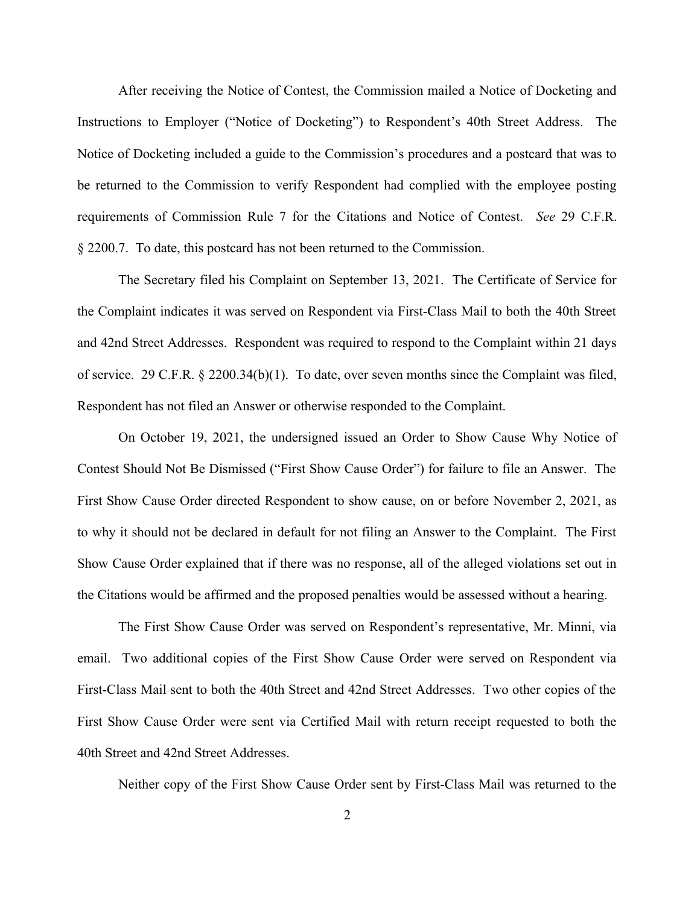After receiving the Notice of Contest, the Commission mailed a Notice of Docketing and Instructions to Employer ("Notice of Docketing") to Respondent's 40th Street Address. The Notice of Docketing included a guide to the Commission's procedures and a postcard that was to be returned to the Commission to verify Respondent had complied with the employee posting requirements of Commission Rule 7 for the Citations and Notice of Contest. *See* 29 C.F.R. § 2200.7. To date, this postcard has not been returned to the Commission.

 The Secretary filed his Complaint on September 13, 2021. The Certificate of Service for the Complaint indicates it was served on Respondent via First-Class Mail to both the 40th Street and 42nd Street Addresses. Respondent was required to respond to the Complaint within 21 days of service. 29 C.F.R. § 2200.34(b)(1). To date, over seven months since the Complaint was filed, Respondent has not filed an Answer or otherwise responded to the Complaint. Respondent has not filed an Answer or otherwise responded to the Complaint.<br>On October 19, 2021, the undersigned issued an Order to Show Cause Why Notice of

 Contest Should Not Be Dismissed ("First Show Cause Order") for failure to file an Answer. The First Show Cause Order directed Respondent to show cause, on or before November 2, 2021, as to why it should not be declared in default for not filing an Answer to the Complaint. The First Show Cause Order explained that if there was no response, all of the alleged violations set out in the Citations would be affirmed and the proposed penalties would be assessed without a hearing. The First Show Cause Order was served on Respondent's representative, Mr. Minni, via

The First Show Cause Order was served on Respondent's representative, Mr. Minni, via email. Two additional copies of the First Show Cause Order were served on Respondent via First-Class Mail sent to both the 40th Street and 42nd Street Addresses. Two other copies of the First Show Cause Order were sent via Certified Mail with return receipt requested to both the 40th Street and 42nd Street Addresses.

Neither copy of the First Show Cause Order sent by First-Class Mail was returned to the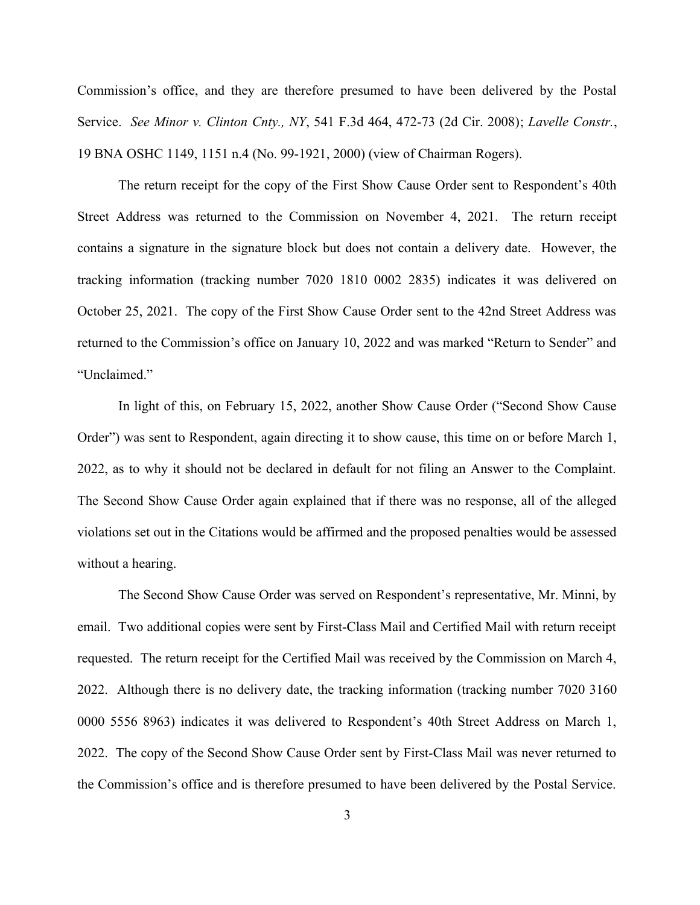Commission's office, and they are therefore presumed to have been delivered by the Postal Service. *See Minor v. Clinton Cnty., NY*, 541 F.3d 464, 472-73 (2d Cir. 2008); *Lavelle Constr.*, 19 BNA OSHC 1149, 1151 n.4 (No. 99-1921, 2000) (view of Chairman Rogers).

 The return receipt for the copy of the First Show Cause Order sent to Respondent's 40th Street Address was returned to the Commission on November 4, 2021. The return receipt contains a signature in the signature block but does not contain a delivery date. However, the tracking information (tracking number 7020 1810 0002 2835) indicates it was delivered on October 25, 2021. The copy of the First Show Cause Order sent to the 42nd Street Address was returned to the Commission's office on January 10, 2022 and was marked "Return to Sender" and "Unclaimed." "Unclaimed." In light of this, on February 15, 2022, another Show Cause Order ("Second Show Cause

 Order") was sent to Respondent, again directing it to show cause, this time on or before March 1, 2022, as to why it should not be declared in default for not filing an Answer to the Complaint. The Second Show Cause Order again explained that if there was no response, all of the alleged violations set out in the Citations would be affirmed and the proposed penalties would be assessed without a hearing. without a hearing.<br>The Second Show Cause Order was served on Respondent's representative, Mr. Minni, by

 email. Two additional copies were sent by First-Class Mail and Certified Mail with return receipt requested. The return receipt for the Certified Mail was received by the Commission on March 4, 2022. Although there is no delivery date, the tracking information (tracking number 7020 3160 0000 5556 8963) indicates it was delivered to Respondent's 40th Street Address on March 1, 2022. The copy of the Second Show Cause Order sent by First-Class Mail was never returned to the Commission's office and is therefore presumed to have been delivered by the Postal Service.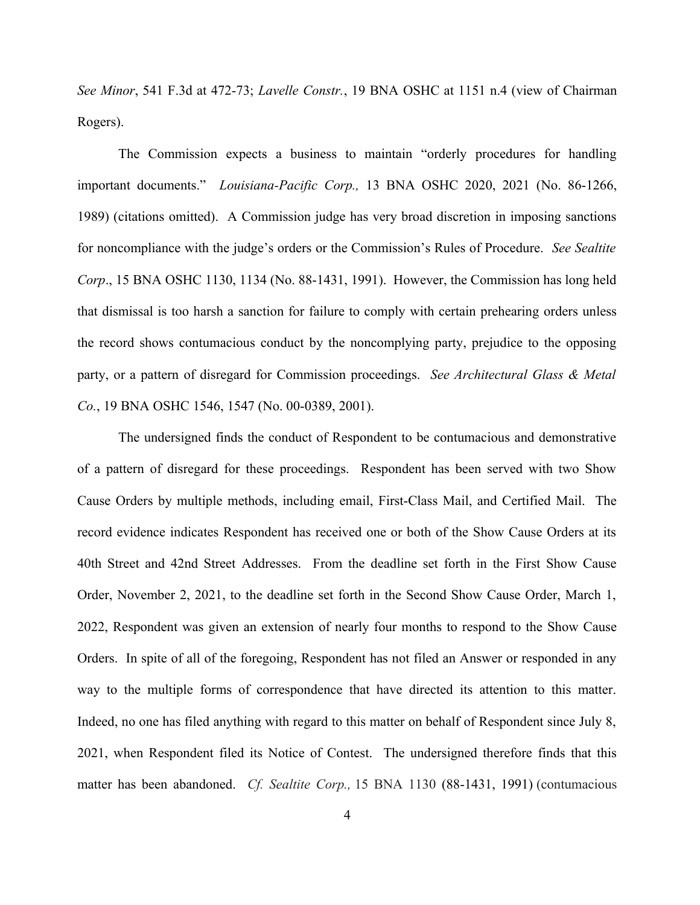*See Minor*, 541 F.3d at 472-73; *Lavelle Constr.*, 19 BNA OSHC at 1151 n.4 (view of Chairman Rogers).

 The Commission expects a business to maintain "orderly procedures for handling important documents." *Louisiana-Pacific Corp.,* 13 BNA OSHC 2020, 2021 (No. 86-1266, 1989) (citations omitted). A Commission judge has very broad discretion in imposing sanctions for noncompliance with the judge's orders or the Commission's Rules of Procedure. *See Sealtite*  that dismissal is too harsh a sanction for failure to comply with certain prehearing orders unless the record shows contumacious conduct by the noncomplying party, prejudice to the opposing party, or a pattern of disregard for Commission proceedings. *See Architectural Glass & Metal Corp*., 15 BNA OSHC 1130, 1134 (No. 88-1431, 1991). However, the Commission has long held *Co.*, 19 BNA OSHC 1546, 1547 (No. 00-0389, 2001).

 The undersigned finds the conduct of Respondent to be contumacious and demonstrative of a pattern of disregard for these proceedings. Respondent has been served with two Show Cause Orders by multiple methods, including email, First-Class Mail, and Certified Mail. The record evidence indicates Respondent has received one or both of the Show Cause Orders at its 40th Street and 42nd Street Addresses. From the deadline set forth in the First Show Cause Order, November 2, 2021, to the deadline set forth in the Second Show Cause Order, March 1, 2022, Respondent was given an extension of nearly four months to respond to the Show Cause Orders. In spite of all of the foregoing, Respondent has not filed an Answer or responded in any way to the multiple forms of correspondence that have directed its attention to this matter. Indeed, no one has filed anything with regard to this matter on behalf of Respondent since July 8, 2021, when Respondent filed its Notice of Contest. The undersigned therefore finds that this matter has been abandoned. *Cf. Sealtite Corp.,* 15 BNA 1130 (88-1431, 1991) (contumacious